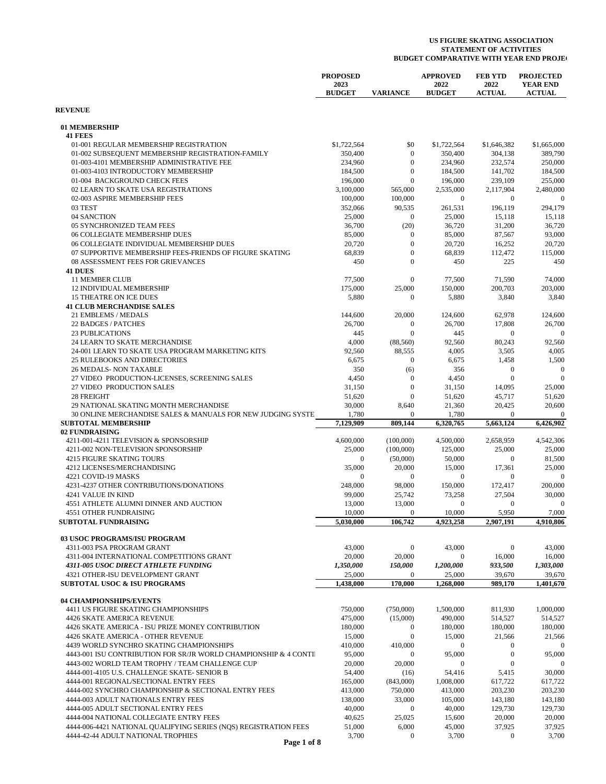|                                                                                                        | <b>PROPOSED</b>       |                                    | <b>APPROVED</b>       | <b>FEB YTD</b>         | <b>PROJECTED</b>                 |
|--------------------------------------------------------------------------------------------------------|-----------------------|------------------------------------|-----------------------|------------------------|----------------------------------|
|                                                                                                        | 2023<br><b>BUDGET</b> | <b>VARIANCE</b>                    | 2022<br><b>BUDGET</b> | 2022<br><b>ACTUAL</b>  | <b>YEAR END</b><br><b>ACTUAL</b> |
| <b>REVENUE</b>                                                                                         |                       |                                    |                       |                        |                                  |
| 01 MEMBERSHIP                                                                                          |                       |                                    |                       |                        |                                  |
| <b>41 FEES</b><br>01-001 REGULAR MEMBERSHIP REGISTRATION                                               | \$1,722,564           | \$0                                | \$1,722,564           | \$1,646,382            | \$1,665,000                      |
| 01-002 SUBSEQUENT MEMBERSHIP REGISTRATION-FAMILY                                                       | 350,400               | $\bf{0}$                           | 350,400               | 304,138                | 389,790                          |
| 01-003-4101 MEMBERSHIP ADMINISTRATIVE FEE                                                              | 234,960               | $\mathbf{0}$                       | 234,960               | 232,574                | 250,000                          |
| 01-003-4103 INTRODUCTORY MEMBERSHIP                                                                    | 184,500               | $\mathbf{0}$                       | 184,500               | 141,702                | 184,500                          |
| 01-004 BACKGROUND CHECK FEES                                                                           | 196,000               | $\mathbf{0}$                       | 196,000               | 239,109                | 255,000                          |
| 02 LEARN TO SKATE USA REGISTRATIONS                                                                    | 3,100,000             | 565,000                            | 2,535,000             | 2,117,904              | 2,480,000                        |
| 02-003 ASPIRE MEMBERSHIP FEES                                                                          | 100,000               | 100,000                            | $\mathbf{0}$          | $\mathbf{0}$           | $\mathbf{0}$                     |
| 03 TEST                                                                                                | 352,066               | 90,535                             | 261,531               | 196,119                | 294,179                          |
| 04 SANCTION<br>05 SYNCHRONIZED TEAM FEES                                                               | 25,000                | $\mathbf{0}$                       | 25,000                | 15,118                 | 15,118<br>36,720                 |
| 06 COLLEGIATE MEMBERSHIP DUES                                                                          | 36,700<br>85,000      | (20)<br>$\mathbf{0}$               | 36,720<br>85,000      | 31,200<br>87,567       | 93,000                           |
| 06 COLLEGIATE INDIVIDUAL MEMBERSHIP DUES                                                               | 20,720                | $\mathbf{0}$                       | 20,720                | 16,252                 | 20,720                           |
| 07 SUPPORTIVE MEMBERSHIP FEES-FRIENDS OF FIGURE SKATING                                                | 68,839                | $\mathbf{0}$                       | 68,839                | 112,472                | 115,000                          |
| 08 ASSESSMENT FEES FOR GRIEVANCES                                                                      | 450                   | $\mathbf{0}$                       | 450                   | 225                    | 450                              |
| <b>41 DUES</b>                                                                                         |                       |                                    |                       |                        |                                  |
| <b>11 MEMBER CLUB</b>                                                                                  | 77,500                | $\mathbf{0}$                       | 77,500                | 71,590                 | 74,000                           |
| <b>12 INDIVIDUAL MEMBERSHIP</b>                                                                        | 175,000               | 25,000                             | 150,000               | 200,703                | 203,000                          |
| <b>15 THEATRE ON ICE DUES</b>                                                                          | 5,880                 | $\bf{0}$                           | 5,880                 | 3,840                  | 3,840                            |
| <b>41 CLUB MERCHANDISE SALES</b>                                                                       |                       |                                    |                       |                        |                                  |
| 21 EMBLEMS / MEDALS                                                                                    | 144,600               | 20,000                             | 124,600               | 62,978                 | 124,600                          |
| 22 BADGES / PATCHES<br><b>23 PUBLICATIONS</b>                                                          | 26,700<br>445         | $\boldsymbol{0}$<br>$\overline{0}$ | 26,700<br>445         | 17,808<br>$\mathbf{0}$ | 26,700<br>$\mathbf{0}$           |
| 24 LEARN TO SKATE MERCHANDISE                                                                          | 4,000                 | (88, 560)                          | 92,560                | 80,243                 | 92,560                           |
| 24-001 LEARN TO SKATE USA PROGRAM MARKETING KITS                                                       | 92,560                | 88,555                             | 4,005                 | 3,505                  | 4,005                            |
| <b>25 RULEBOOKS AND DIRECTORIES</b>                                                                    | 6,675                 | $\mathbf{0}$                       | 6,675                 | 1,458                  | 1,500                            |
| <b>26 MEDALS- NON TAXABLE</b>                                                                          | 350                   | (6)                                | 356                   | $\boldsymbol{0}$       | $\boldsymbol{0}$                 |
| 27 VIDEO PRODUCTION-LICENSES, SCREENING SALES                                                          | 4,450                 | $\boldsymbol{0}$                   | 4,450                 | $\mathbf{0}$           | $\mathbf{0}$                     |
| 27 VIDEO PRODUCTION SALES                                                                              | 31,150                | $\mathbf{0}$                       | 31,150                | 14,095                 | 25,000                           |
| 28 FREIGHT                                                                                             | 51,620                | $\mathbf{0}$                       | 51,620                | 45,717                 | 51,620                           |
| 29 NATIONAL SKATING MONTH MERCHANDISE                                                                  | 30,000                | 8,640                              | 21,360                | 20,425                 | 20,600                           |
| 30 ONLINE MERCHANDISE SALES & MANUALS FOR NEW JUDGING SYSTE.                                           | 1,780                 | $\mathbf{0}$                       | 1,780                 | $\mathbf{0}$           | $\mathbf{0}$                     |
| <b>SUBTOTAL MEMBERSHIP</b><br>02 FUNDRAISING                                                           | 7,129,909             | 809,144                            | 6,320,765             | 5,663,124              | 6,426,902                        |
| 4211-001-4211 TELEVISION & SPONSORSHIP                                                                 | 4,600,000             | (100,000)                          | 4,500,000             | 2,658,959              | 4,542,306                        |
| 4211-002 NON-TELEVISION SPONSORSHIP                                                                    | 25,000                | (100,000)                          | 125,000               | 25,000                 | 25,000                           |
| <b>4215 FIGURE SKATING TOURS</b>                                                                       | $\mathbf{0}$          | (50,000)                           | 50,000                | $\mathbf{0}$           | 81,500                           |
| 4212 LICENSES/MERCHANDISING                                                                            | 35,000                | 20,000                             | 15,000                | 17,361                 | 25,000                           |
| 4221 COVID-19 MASKS                                                                                    | $\mathbf{0}$          | $\mathbf{0}$                       | $\boldsymbol{0}$      | $\mathbf{0}$           | $\mathbf{0}$                     |
| 4231-4237 OTHER CONTRIBUTIONS/DONATIONS                                                                | 248,000               | 98,000                             | 150,000               | 172,417                | 200,000                          |
| 4241 VALUE IN KIND                                                                                     | 99,000                | 25,742                             | 73,258                | 27,504                 | 30,000                           |
| 4551 ATHLETE ALUMNI DINNER AND AUCTION                                                                 | 13,000                | 13,000                             | $\mathbf{0}$          | $\mathbf{0}$           | $\mathbf{0}$                     |
| 4551 OTHER FUNDRAISING                                                                                 | 10,000                | 0                                  | 10,000                | 5,950                  | 7,000                            |
| <b>SUBTOTAL FUNDRAISING</b>                                                                            | 5,030,000             | 106,742                            | 4,923,258             | 2,907,191              | 4,910,806                        |
| 03 USOC PROGRAMS/ISU PROGRAM                                                                           |                       |                                    |                       |                        |                                  |
| 4311-003 PSA PROGRAM GRANT                                                                             | 43,000                | $\boldsymbol{0}$                   | 43,000                | $\mathbf{0}$           | 43,000                           |
| 4311-004 INTERNATIONAL COMPETITIONS GRANT                                                              | 20,000                | 20,000                             | $\boldsymbol{0}$      | 16,000                 | 16,000                           |
| <b>4311-005 USOC DIRECT ATHLETE FUNDING</b>                                                            | 1,350,000             | 150,000                            | 1,200,000             | 933,500                | 1,303,000                        |
| 4321 OTHER-ISU DEVELOPMENT GRANT                                                                       | 25,000                | $\mathbf{0}$                       | 25,000                | 39,670                 | 39,670                           |
| <b>SUBTOTAL USOC &amp; ISU PROGRAMS</b>                                                                | 1,438,000             | 170,000                            | 1,268,000             | 989,170                | 1,401,670                        |
|                                                                                                        |                       |                                    |                       |                        |                                  |
| <b>04 CHAMPIONSHIPS/EVENTS</b><br>4411 US FIGURE SKATING CHAMPIONSHIPS                                 | 750,000               | (750,000)                          | 1,500,000             | 811,930                | 1,000,000                        |
| <b>4426 SKATE AMERICA REVENUE</b>                                                                      | 475,000               | (15,000)                           | 490,000               | 514,527                | 514,527                          |
| 4426 SKATE AMERICA - ISU PRIZE MONEY CONTRIBUTION                                                      | 180,000               | $\mathbf{0}$                       | 180,000               | 180,000                | 180,000                          |
| 4426 SKATE AMERICA - OTHER REVENUE                                                                     | 15,000                | $\mathbf{0}$                       | 15,000                | 21,566                 | 21,566                           |
| 4439 WORLD SYNCHRO SKATING CHAMPIONSHIPS                                                               | 410,000               | 410,000                            | $\mathbf{0}$          | 0                      | $\mathbf{0}$                     |
| 4443-001 ISU CONTRIBUTION FOR SR/JR WORLD CHAMPIONSHIP & 4 CONTI                                       | 95,000                | $\mathbf{0}$                       | 95,000                | $\boldsymbol{0}$       | 95,000                           |
| 4443-002 WORLD TEAM TROPHY / TEAM CHALLENGE CUP                                                        | 20,000                | 20,000                             | $\boldsymbol{0}$      | $\mathbf{0}$           | $\mathbf{0}$                     |
| 4444-001-4105 U.S. CHALLENGE SKATE- SENIOR B                                                           | 54,400                | (16)                               | 54,416                | 5,415                  | 30,000                           |
| 4444-001 REGIONAL/SECTIONAL ENTRY FEES                                                                 | 165,000               | (843,000)                          | 1,008,000             | 617,722                | 617,722                          |
| 4444-002 SYNCHRO CHAMPIONSHIP & SECTIONAL ENTRY FEES                                                   | 413,000               | 750,000                            | 413,000               | 203,230                | 203,230                          |
| 4444-003 ADULT NATIONALS ENTRY FEES                                                                    | 138,000               | 33,000                             | 105,000               | 143,180                | 143,180                          |
| 4444-005 ADULT SECTIONAL ENTRY FEES                                                                    | 40,000                | $\boldsymbol{0}$                   | 40,000                | 129,730                | 129,730                          |
| 4444-004 NATIONAL COLLEGIATE ENTRY FEES                                                                | 40,625                | 25,025                             | 15,600                | 20,000                 | 20,000                           |
| 4444-006-4421 NATIONAL QUALIFYING SERIES (NQS) REGISTRATION FEES<br>4444-42-44 ADULT NATIONAL TROPHIES | 51,000<br>3,700       | 6,000<br>$\bf{0}$                  | 45,000<br>3,700       | 37,925<br>$\mathbf{0}$ | 37,925<br>3,700                  |
|                                                                                                        |                       |                                    |                       |                        |                                  |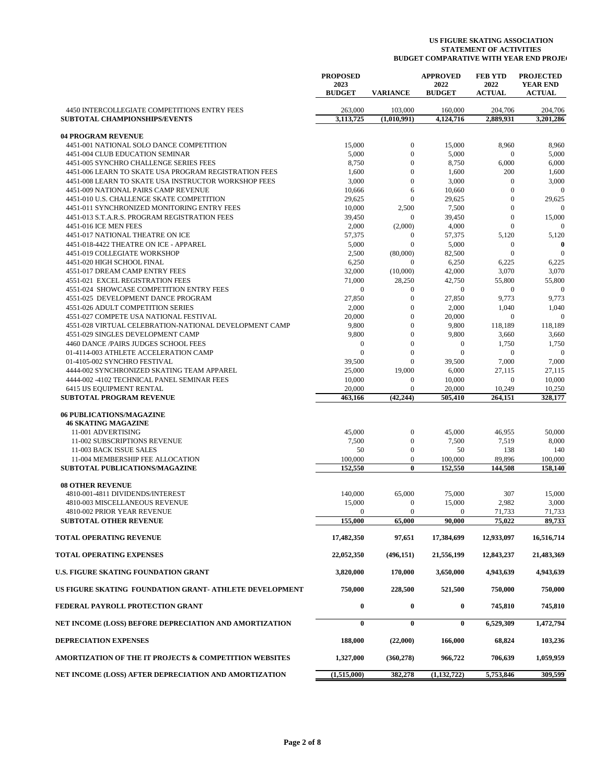|                                                                   | <b>PROPOSED</b><br>2023<br><b>BUDGET</b> | <b>VARIANCE</b>          | <b>APPROVED</b><br>2022<br><b>BUDGET</b> | <b>FEB YTD</b><br>2022<br><b>ACTUAL</b> | <b>PROJECTED</b><br><b>YEAR END</b><br><b>ACTUAL</b> |
|-------------------------------------------------------------------|------------------------------------------|--------------------------|------------------------------------------|-----------------------------------------|------------------------------------------------------|
| 4450 INTERCOLLEGIATE COMPETITIONS ENTRY FEES                      | 263,000                                  | 103,000                  | 160,000                                  | 204,706                                 | 204,706                                              |
| <b>SUBTOTAL CHAMPIONSHIPS/EVENTS</b>                              | 3,113,725                                | (1,010,991)              | 4,124,716                                | 2,889,931                               | 3,201,286                                            |
| <b>04 PROGRAM REVENUE</b>                                         |                                          |                          |                                          |                                         |                                                      |
| 4451-001 NATIONAL SOLO DANCE COMPETITION                          | 15,000                                   | $\boldsymbol{0}$         | 15,000                                   | 8,960                                   | 8,960                                                |
| 4451-004 CLUB EDUCATION SEMINAR                                   | 5,000                                    | $\mathbf{0}$             | 5,000                                    | $\mathbf{0}$                            | 5,000                                                |
| 4451-005 SYNCHRO CHALLENGE SERIES FEES                            | 8,750                                    | $\overline{0}$           | 8,750                                    | 6,000                                   | 6,000                                                |
| 4451-006 LEARN TO SKATE USA PROGRAM REGISTRATION FEES             | 1,600                                    | $\overline{0}$           | 1,600                                    | 200                                     | 1,600                                                |
| 4451-008 LEARN TO SKATE USA INSTRUCTOR WORKSHOP FEES              | 3,000                                    | $\mathbf{0}$             | 3,000                                    | $\mathbf{0}$                            | 3,000                                                |
| 4451-009 NATIONAL PAIRS CAMP REVENUE                              | 10,666                                   | 6                        | 10,660                                   | $\overline{0}$                          | $\overline{0}$                                       |
| 4451-010 U.S. CHALLENGE SKATE COMPETITION                         | 29,625                                   | $\overline{0}$           | 29,625                                   | $\overline{0}$                          | 29,625                                               |
| 4451-011 SYNCHRONIZED MONITORING ENTRY FEES                       | 10,000                                   | 2,500                    | 7,500                                    | $\overline{0}$                          | $\mathbf{0}$                                         |
| 4451-013 S.T.A.R.S. PROGRAM REGISTRATION FEES                     | 39,450                                   | $\mathbf{0}$             | 39,450                                   | $\Omega$                                | 15,000                                               |
| 4451-016 ICE MEN FEES                                             | 2,000                                    | (2,000)                  | 4,000                                    | $\theta$                                | $\mathbf{0}$                                         |
| 4451-017 NATIONAL THEATRE ON ICE                                  | 57,375                                   | $\mathbf{0}$             | 57,375                                   | 5,120                                   | 5,120                                                |
| 4451-018-4422 THEATRE ON ICE - APPAREL                            | 5,000                                    | $\overline{0}$           | 5,000                                    | $\mathbf{0}$<br>$\overline{0}$          | $\bf{0}$                                             |
| 4451-019 COLLEGIATE WORKSHOP<br>4451-020 HIGH SCHOOL FINAL        | 2,500<br>6,250                           | (80,000)<br>$\mathbf{0}$ | 82,500<br>6,250                          | 6,225                                   | $\boldsymbol{0}$<br>6,225                            |
| 4551-017 DREAM CAMP ENTRY FEES                                    | 32,000                                   | (10,000)                 | 42,000                                   | 3,070                                   | 3,070                                                |
| 4551-021 EXCEL REGISTRATION FEES                                  | 71,000                                   | 28,250                   | 42,750                                   | 55,800                                  | 55,800                                               |
| 4551-024 SHOWCASE COMPETITION ENTRY FEES                          | $\overline{0}$                           | $\boldsymbol{0}$         | $\mathbf{0}$                             | $\mathbf{0}$                            | $\mathbf{0}$                                         |
| 4551-025 DEVELOPMENT DANCE PROGRAM                                | 27,850                                   | $\mathbf{0}$             | 27,850                                   | 9,773                                   | 9,773                                                |
| 4551-026 ADULT COMPETITION SERIES                                 | 2,000                                    | $\overline{0}$           | 2,000                                    | 1,040                                   | 1,040                                                |
| 4551-027 COMPETE USA NATIONAL FESTIVAL                            | 20,000                                   | $\mathbf{0}$             | 20,000                                   | $\overline{0}$                          | $\mathbf{0}$                                         |
| 4551-028 VIRTUAL CELEBRATION-NATIONAL DEVELOPMENT CAMP            | 9,800                                    | $\overline{0}$           | 9,800                                    | 118,189                                 | 118,189                                              |
| 4551-029 SINGLES DEVELOPMENT CAMP                                 | 9,800                                    | $\overline{0}$           | 9,800                                    | 3,660                                   | 3,660                                                |
| 4460 DANCE /PAIRS JUDGES SCHOOL FEES                              | $\mathbf{0}$                             | $\overline{0}$           | $\boldsymbol{0}$                         | 1,750                                   | 1,750                                                |
| 01-4114-003 ATHLETE ACCELERATION CAMP                             | $\overline{0}$                           | $\overline{0}$           | $\mathbf{0}$                             | $\mathbf{0}$                            | $\mathbf{0}$                                         |
| 01-4105-002 SYNCHRO FESTIVAL                                      | 39,500                                   | $\overline{0}$           | 39,500                                   | 7,000                                   | 7,000                                                |
| 4444-002 SYNCHRONIZED SKATING TEAM APPAREL                        | 25,000                                   | 19,000                   | 6,000                                    | 27,115                                  | 27,115                                               |
| 4444-002 -4102 TECHNICAL PANEL SEMINAR FEES                       | 10,000                                   | $\boldsymbol{0}$         | 10,000                                   | $\mathbf{0}$                            | 10,000                                               |
| 6415 IJS EQUIPMENT RENTAL                                         | 20,000                                   | $\mathbf{0}$             | 20,000                                   | 10,249                                  | 10,250                                               |
| <b>SUBTOTAL PROGRAM REVENUE</b>                                   | 463,166                                  | (42, 244)                | 505,410                                  | 264,151                                 | 328,177                                              |
| <b>06 PUBLICATIONS/MAGAZINE</b>                                   |                                          |                          |                                          |                                         |                                                      |
| <b>46 SKATING MAGAZINE</b>                                        |                                          |                          |                                          |                                         |                                                      |
| 11-001 ADVERTISING                                                | 45,000                                   | $\boldsymbol{0}$         | 45,000                                   | 46,955                                  | 50,000                                               |
| 11-002 SUBSCRIPTIONS REVENUE                                      | 7,500                                    | $\boldsymbol{0}$         | 7,500                                    | 7,519                                   | 8,000                                                |
| 11-003 BACK ISSUE SALES                                           | 50                                       | $\boldsymbol{0}$         | 50                                       | 138                                     | 140                                                  |
| 11-004 MEMBERSHIP FEE ALLOCATION                                  | 100,000                                  | $\boldsymbol{0}$         | 100,000                                  | 89,896                                  | 100,000                                              |
| <b>SUBTOTAL PUBLICATIONS/MAGAZINE</b>                             | 152,550                                  | $\bf{0}$                 | 152,550                                  | 144,508                                 | 158,140                                              |
| <b>08 OTHER REVENUE</b>                                           |                                          |                          |                                          |                                         |                                                      |
| 4810-001-4811 DIVIDENDS/INTEREST                                  | 140,000                                  | 65,000                   | 75,000                                   | 307                                     | 15,000                                               |
| 4810-003 MISCELLANEOUS REVENUE                                    | 15,000                                   | $\boldsymbol{0}$         | 15,000                                   | 2,982                                   | 3,000                                                |
| 4810-002 PRIOR YEAR REVENUE                                       | $\overline{0}$                           | $\mathbf{0}$             | $\mathbf{0}$                             | 71.733                                  | 71.733                                               |
| <b>SUBTOTAL OTHER REVENUE</b>                                     | 155,000                                  | 65,000                   | 90,000                                   | 75,022                                  | 89,733                                               |
| TOTAL OPERATING REVENUE                                           | 17,482,350                               | 97,651                   | 17,384,699                               | 12,933,097                              | 16,516,714                                           |
| TOTAL OPERATING EXPENSES                                          | 22,052,350                               | (496, 151)               | 21,556,199                               | 12,843,237                              | 21,483,369                                           |
| U.S. FIGURE SKATING FOUNDATION GRANT                              | 3,820,000                                | 170,000                  | 3,650,000                                | 4,943,639                               | 4,943,639                                            |
| US FIGURE SKATING FOUNDATION GRANT- ATHLETE DEVELOPMENT           | 750,000                                  | 228,500                  | 521,500                                  | 750,000                                 | 750,000                                              |
| FEDERAL PAYROLL PROTECTION GRANT                                  | $\bf{0}$                                 | 0                        | $\bf{0}$                                 | 745,810                                 | 745,810                                              |
| NET INCOME (LOSS) BEFORE DEPRECIATION AND AMORTIZATION            | $\bf{0}$                                 | 0                        | $\bf{0}$                                 | 6,529,309                               | 1,472,794                                            |
| <b>DEPRECIATION EXPENSES</b>                                      | 188,000                                  | (22,000)                 | 166,000                                  | 68,824                                  | 103,236                                              |
| <b>AMORTIZATION OF THE IT PROJECTS &amp; COMPETITION WEBSITES</b> | 1,327,000                                | (360, 278)               | 966,722                                  | 706,639                                 | 1,059,959                                            |
| NET INCOME (LOSS) AFTER DEPRECIATION AND AMORTIZATION             | (1,515,000)                              | 382,278                  | (1, 132, 722)                            | 5,753,846                               | 309,599                                              |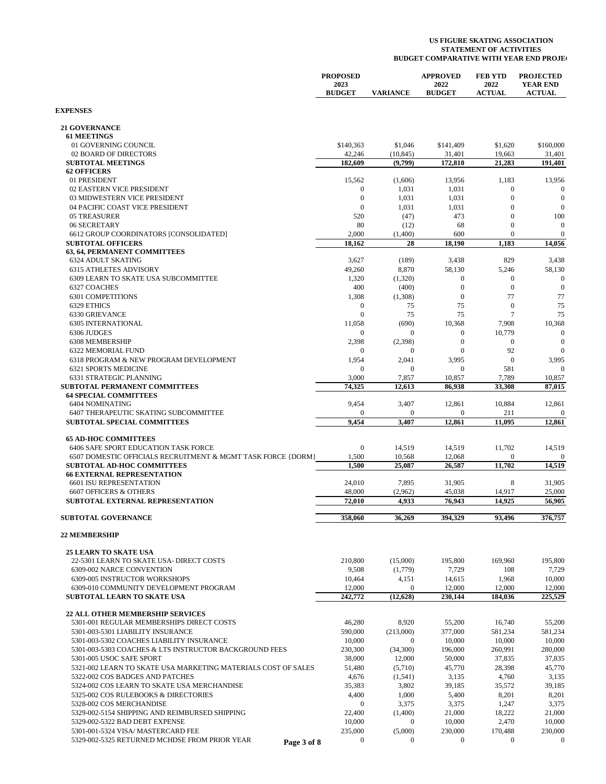|                                                                                | <b>PROPOSED</b><br>2023    |                               | <b>APPROVED</b><br>2022              | <b>FEB YTD</b><br>2022         | <b>PROJECTED</b><br><b>YEAR END</b> |
|--------------------------------------------------------------------------------|----------------------------|-------------------------------|--------------------------------------|--------------------------------|-------------------------------------|
|                                                                                | <b>BUDGET</b>              | <b>VARIANCE</b>               | <b>BUDGET</b>                        | <b>ACTUAL</b>                  | <b>ACTUAL</b>                       |
| <b>EXPENSES</b>                                                                |                            |                               |                                      |                                |                                     |
| <b>21 GOVERNANCE</b>                                                           |                            |                               |                                      |                                |                                     |
| <b>61 MEETINGS</b><br>01 GOVERNING COUNCIL                                     | \$140,363                  | \$1,046                       | \$141,409                            | \$1,620                        | \$160,000                           |
| 02 BOARD OF DIRECTORS                                                          | 42,246                     | (10, 845)                     | 31,401                               | 19,663                         | 31,401                              |
| <b>SUBTOTAL MEETINGS</b>                                                       | 182,609                    | (9,799)                       | 172,810                              | 21,283                         | 191,401                             |
| <b>62 OFFICERS</b>                                                             |                            |                               |                                      |                                |                                     |
| 01 PRESIDENT<br>02 EASTERN VICE PRESIDENT                                      | 15,562<br>$\boldsymbol{0}$ | (1,606)<br>1,031              | 13,956<br>1,031                      | 1,183<br>$\mathbf{0}$          | 13,956<br>$\boldsymbol{0}$          |
| 03 MIDWESTERN VICE PRESIDENT                                                   | $\overline{0}$             | 1,031                         | 1,031                                | $\overline{0}$                 | $\mathbf{0}$                        |
| 04 PACIFIC COAST VICE PRESIDENT                                                | $\mathbf{0}$               | 1,031                         | 1,031                                | $\mathbf{0}$                   | $\boldsymbol{0}$                    |
| 05 TREASURER                                                                   | 520                        | (47)                          | 473                                  | $\mathbf{0}$                   | 100                                 |
| 06 SECRETARY                                                                   | 80                         | (12)                          | 68                                   | $\mathbf{0}$                   | $\boldsymbol{0}$                    |
| 6612 GROUP COORDINATORS [CONSOLIDATED]<br><b>SUBTOTAL OFFICERS</b>             | 2,000<br>18,162            | (1,400)<br>28                 | 600<br>18,190                        | $\mathbf{0}$<br>1,183          | $\overline{0}$<br>14,056            |
| 63, 64, PERMANENT COMMITTEES                                                   |                            |                               |                                      |                                |                                     |
| <b>6324 ADULT SKATING</b>                                                      | 3,627                      | (189)                         | 3,438                                | 829                            | 3,438                               |
| <b>6315 ATHLETES ADVISORY</b>                                                  | 49,260                     | 8,870                         | 58,130                               | 5,246                          | 58,130                              |
| 6309 LEARN TO SKATE USA SUBCOMMITTEE                                           | 1,320                      | (1,320)                       | $\boldsymbol{0}$                     | $\mathbf{0}$<br>$\overline{0}$ | $\overline{0}$                      |
| 6327 COACHES<br><b>6301 COMPETITIONS</b>                                       | 400<br>1,308               | (400)<br>(1,308)              | $\boldsymbol{0}$<br>$\boldsymbol{0}$ | 77                             | $\mathbf{0}$<br>77                  |
| 6329 ETHICS                                                                    | $\mathbf{0}$               | 75                            | 75                                   | $\overline{0}$                 | 75                                  |
| 6330 GRIEVANCE                                                                 | $\mathbf{0}$               | 75                            | 75                                   | $\overline{7}$                 | 75                                  |
| <b>6305 INTERNATIONAL</b>                                                      | 11,058                     | (690)                         | 10,368                               | 7,908                          | 10,368                              |
| 6306 JUDGES                                                                    | $\mathbf{0}$               | $\boldsymbol{0}$              | $\mathbf{0}$                         | 10,779                         | $\boldsymbol{0}$                    |
| 6308 MEMBERSHIP<br>6322 MEMORIAL FUND                                          | 2,398<br>$\mathbf{0}$      | (2, 398)<br>$\mathbf{0}$      | $\boldsymbol{0}$<br>$\boldsymbol{0}$ | $\boldsymbol{0}$<br>92         | $\boldsymbol{0}$<br>$\overline{0}$  |
| 6318 PROGRAM & NEW PROGRAM DEVELOPMENT                                         | 1,954                      | 2,041                         | 3,995                                | $\overline{0}$                 | 3,995                               |
| <b>6321 SPORTS MEDICINE</b>                                                    | $\mathbf{0}$               | $\mathbf{0}$                  | $\boldsymbol{0}$                     | 581                            | $\mathbf{0}$                        |
| 6331 STRATEGIC PLANNING                                                        | 3,000                      | 7,857                         | 10,857                               | 7,789                          | 10,857                              |
| SUBTOTAL PERMANENT COMMITTEES                                                  | 74,325                     | 12,613                        | 86,938                               | 33,308                         | 87,015                              |
| <b>64 SPECIAL COMMITTEES</b><br>6404 NOMINATING                                | 9,454                      | 3,407                         | 12,861                               | 10,884                         | 12,861                              |
| 6407 THERAPEUTIC SKATING SUBCOMMITTEE                                          | $\mathbf{0}$               | 0                             | $\bf{0}$                             | 211                            | 0                                   |
| <b>SUBTOTAL SPECIAL COMMITTEES</b>                                             | 9,454                      | 3,407                         | 12,861                               | 11,095                         | 12,861                              |
| <b>65 AD-HOC COMMITTEES</b>                                                    |                            |                               |                                      |                                |                                     |
| 6406 SAFE SPORT EDUCATION TASK FORCE                                           | $\mathbf{0}$               | 14,519                        | 14,519                               | 11,702                         | 14,519                              |
| 6507 DOMESTIC OFFICIALS RECRUITMENT & MGMT TASK FORCE {DORM}                   | 1,500                      | 10,568                        | 12,068                               | $\mathbf{0}$                   | $\mathbf{0}$                        |
| SUBTOTAL AD-HOC COMMITTEES                                                     | 1,500                      | 25,087                        | 26,587                               | 11,702                         | 14,519                              |
| <b>66 EXTERNAL REPRESENTATION</b><br><b>6601 ISU REPRESENTATION</b>            | 24,010                     | 7,895                         | 31,905                               | 8                              | 31,905                              |
| 6607 OFFICERS & OTHERS                                                         | 48,000                     | (2,962)                       | 45,038                               | 14,917                         | 25,000                              |
| SUBTOTAL EXTERNAL REPRESENTATION                                               | 72,010                     | 4,933                         | 76,943                               | 14,925                         | 56,905                              |
| <b>SUBTOTAL GOVERNANCE</b>                                                     | 358,060                    | 36,269                        | 394,329                              | 93,496                         | 376,757                             |
| <b>22 MEMBERSHIP</b>                                                           |                            |                               |                                      |                                |                                     |
| <b>25 LEARN TO SKATE USA</b>                                                   |                            |                               |                                      |                                |                                     |
| 22-5301 LEARN TO SKATE USA- DIRECT COSTS                                       | 210,800                    | (15,000)                      | 195,800                              | 169,960                        | 195,800                             |
| 6309-002 NARCE CONVENTION                                                      | 9,508                      | (1,779)                       | 7,729                                | 108                            | 7,729                               |
| 6309-005 INSTRUCTOR WORKSHOPS                                                  | 10,464                     | 4,151                         | 14,615                               | 1,968                          | 10,000                              |
| 6309-010 COMMUNITY DEVELOPMENT PROGRAM<br><b>SUBTOTAL LEARN TO SKATE USA</b>   | 12,000<br>242,772          | $\mathbf{0}$<br>(12, 628)     | 12,000<br>230,144                    | 12,000<br>184,036              | 12,000<br>225,529                   |
|                                                                                |                            |                               |                                      |                                |                                     |
| <b>22 ALL OTHER MEMBERSHIP SERVICES</b>                                        |                            |                               |                                      |                                |                                     |
| 5301-001 REGULAR MEMBERSHIPS DIRECT COSTS                                      | 46,280                     | 8,920                         | 55,200                               | 16.740                         | 55,200                              |
| 5301-003-5301 LIABILITY INSURANCE<br>5301-003-5302 COACHES LIABILITY INSURANCE | 590,000<br>10,000          | (213,000)<br>$\boldsymbol{0}$ | 377,000<br>10,000                    | 581,234<br>10,000              | 581,234<br>10,000                   |
| 5301-003-5303 COACHES & LTS INSTRUCTOR BACKGROUND FEES                         | 230,300                    | (34,300)                      | 196,000                              | 260,991                        | 280,000                             |
| 5301-005 USOC SAFE SPORT                                                       | 38,000                     | 12,000                        | 50,000                               | 37,835                         | 37,835                              |
| 5321-002 LEARN TO SKATE USA MARKETING MATERIALS COST OF SALES                  | 51,480                     | (5,710)                       | 45,770                               | 28,398                         | 45,770                              |
| 5322-002 COS BADGES AND PATCHES                                                | 4,676                      | (1, 541)                      | 3,135                                | 4,760                          | 3,135                               |
| 5324-002 COS LEARN TO SKATE USA MERCHANDISE                                    | 35,383                     | 3,802                         | 39,185                               | 35,572                         | 39,185                              |
| 5325-002 COS RULEBOOKS & DIRECTORIES<br>5328-002 COS MERCHANDISE               | 4,400<br>$\mathbf{0}$      | 1,000<br>3,375                | 5,400<br>3,375                       | 8,201<br>1,247                 | 8,201<br>3,375                      |
| 5329-002-5154 SHIPPING AND REIMBURSED SHIPPING                                 | 22,400                     | (1,400)                       | 21,000                               | 18,222                         | 21,000                              |
| 5329-002-5322 BAD DEBT EXPENSE                                                 | 10,000                     | $\boldsymbol{0}$              | 10,000                               | 2,470                          | 10,000                              |
| 5301-001-5324 VISA/ MASTERCARD FEE                                             | 235,000                    | (5,000)                       | 230,000                              | 170,488                        | 230,000                             |
| 5329-002-5325 RETURNED MCHDSE FROM PRIOR YEAR<br>Page 3 of 8                   | $\boldsymbol{0}$           | $\boldsymbol{0}$              | $\boldsymbol{0}$                     | $\boldsymbol{0}$               | $\boldsymbol{0}$                    |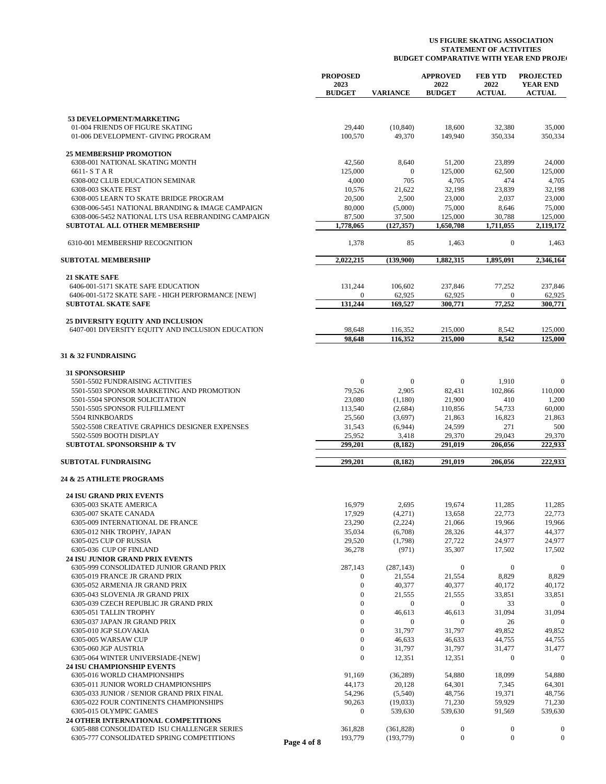|                                                                                            |             | <b>PROPOSED</b><br>2023<br><b>BUDGET</b> | <b>VARIANCE</b>      | <b>APPROVED</b><br>2022<br><b>BUDGET</b> | <b>FEB YTD</b><br>2022<br><b>ACTUAL</b> | <b>PROJECTED</b><br><b>YEAR END</b><br><b>ACTUAL</b> |
|--------------------------------------------------------------------------------------------|-------------|------------------------------------------|----------------------|------------------------------------------|-----------------------------------------|------------------------------------------------------|
|                                                                                            |             |                                          |                      |                                          |                                         |                                                      |
| 53 DEVELOPMENT/MARKETING                                                                   |             |                                          |                      |                                          |                                         |                                                      |
| 01-004 FRIENDS OF FIGURE SKATING<br>01-006 DEVELOPMENT- GIVING PROGRAM                     |             | 29,440<br>100,570                        | (10, 840)<br>49,370  | 18,600<br>149,940                        | 32,380<br>350,334                       | 35,000<br>350,334                                    |
| <b>25 MEMBERSHIP PROMOTION</b>                                                             |             |                                          |                      |                                          |                                         |                                                      |
| 6308-001 NATIONAL SKATING MONTH                                                            |             | 42,560                                   | 8,640                | 51,200                                   | 23,899                                  | 24,000                                               |
| 6611-STAR                                                                                  |             | 125,000                                  | $\overline{0}$       | 125,000                                  | 62,500                                  | 125,000                                              |
| 6308-002 CLUB EDUCATION SEMINAR                                                            |             | 4,000                                    | 705                  | 4,705                                    | 474                                     | 4,705                                                |
| 6308-003 SKATE FEST                                                                        |             | 10,576                                   | 21,622               | 32,198                                   | 23,839                                  | 32,198                                               |
| 6308-005 LEARN TO SKATE BRIDGE PROGRAM                                                     |             | 20,500                                   | 2,500                | 23,000                                   | 2,037                                   | 23,000                                               |
| 6308-006-5451 NATIONAL BRANDING & IMAGE CAMPAIGN                                           |             | 80,000                                   | (5,000)              | 75,000                                   | 8,646                                   | 75,000                                               |
| 6308-006-5452 NATIONAL LTS USA REBRANDING CAMPAIGN<br><b>SUBTOTAL ALL OTHER MEMBERSHIP</b> |             | 87,500<br>1,778,065                      | 37,500<br>(127, 357) | 125,000<br>1,650,708                     | 30,788<br>1,711,055                     | 125,000<br>2,119,172                                 |
| 6310-001 MEMBERSHIP RECOGNITION                                                            |             | 1,378                                    | 85                   | 1,463                                    | $\boldsymbol{0}$                        | 1,463                                                |
|                                                                                            |             |                                          |                      |                                          |                                         |                                                      |
| <b>SUBTOTAL MEMBERSHIP</b>                                                                 |             | 2,022,215                                | (139,900)            | 1,882,315                                | 1,895,091                               | 2,346,164                                            |
| <b>21 SKATE SAFE</b>                                                                       |             |                                          |                      |                                          |                                         |                                                      |
| 6406-001-5171 SKATE SAFE EDUCATION<br>6406-001-5172 SKATE SAFE - HIGH PERFORMANCE [NEW]    |             | 131,244<br>$\mathbf{0}$                  | 106,602<br>62,925    | 237,846<br>62,925                        | 77,252<br>0                             | 237,846<br>62,925                                    |
| <b>SUBTOTAL SKATE SAFE</b>                                                                 |             | 131,244                                  | 169,527              | 300,771                                  | 77,252                                  | 300,771                                              |
|                                                                                            |             |                                          |                      |                                          |                                         |                                                      |
| <b>25 DIVERSITY EQUITY AND INCLUSION</b>                                                   |             |                                          |                      |                                          |                                         |                                                      |
| 6407-001 DIVERSITY EQUITY AND INCLUSION EDUCATION                                          |             | 98,648<br>98.648                         | 116,352<br>116,352   | 215,000<br>215,000                       | 8,542<br>8.542                          | 125,000<br>125,000                                   |
|                                                                                            |             |                                          |                      |                                          |                                         |                                                      |
| 31 & 32 FUNDRAISING                                                                        |             |                                          |                      |                                          |                                         |                                                      |
| <b>31 SPONSORSHIP</b>                                                                      |             |                                          |                      |                                          |                                         |                                                      |
| 5501-5502 FUNDRAISING ACTIVITIES                                                           |             | $\mathbf{0}$                             | $\mathbf{0}$         | $\mathbf{0}$                             | 1,910                                   | $\boldsymbol{0}$                                     |
| 5501-5503 SPONSOR MARKETING AND PROMOTION                                                  |             | 79,526                                   | 2,905                | 82,431                                   | 102,866                                 | 110,000                                              |
| 5501-5504 SPONSOR SOLICITATION                                                             |             | 23,080                                   | (1,180)              | 21,900                                   | 410                                     | 1,200                                                |
| 5501-5505 SPONSOR FULFILLMENT                                                              |             | 113,540                                  | (2,684)              | 110,856                                  | 54,733                                  | 60,000                                               |
| 5504 RINKBOARDS<br>5502-5508 CREATIVE GRAPHICS DESIGNER EXPENSES                           |             | 25,560<br>31,543                         | (3,697)<br>(6,944)   | 21,863<br>24,599                         | 16,823<br>271                           | 21,863<br>500                                        |
| 5502-5509 BOOTH DISPLAY                                                                    |             | 25,952                                   | 3,418                | 29,370                                   | 29,043                                  | 29,370                                               |
| <b>SUBTOTAL SPONSORSHIP &amp; TV</b>                                                       |             | 299,201                                  | (8, 182)             | 291,019                                  | 206,056                                 | 222,933                                              |
| <b>SUBTOTAL FUNDRAISING</b>                                                                |             | 299,201                                  | (8,182)              | 291,019                                  | 206.056                                 | 222,933                                              |
| 24 & 25 ATHLETE PROGRAMS                                                                   |             |                                          |                      |                                          |                                         |                                                      |
|                                                                                            |             |                                          |                      |                                          |                                         |                                                      |
| <b>24 ISU GRAND PRIX EVENTS</b>                                                            |             |                                          |                      |                                          |                                         |                                                      |
| 6305-003 SKATE AMERICA<br>6305-007 SKATE CANADA                                            |             | 16,979<br>17,929                         | 2,695<br>(4,271)     | 19,674<br>13,658                         | 11,285<br>22,773                        | 11,285<br>22,773                                     |
| 6305-009 INTERNATIONAL DE FRANCE                                                           |             | 23,290                                   | (2,224)              | 21,066                                   | 19,966                                  | 19,966                                               |
| 6305-012 NHK TROPHY, JAPAN                                                                 |             | 35,034                                   | (6,708)              | 28,326                                   | 44,377                                  | 44,377                                               |
| 6305-025 CUP OF RUSSIA                                                                     |             | 29,520                                   | (1,798)              | 27,722                                   | 24,977                                  | 24,977                                               |
| 6305-036 CUP OF FINLAND                                                                    |             | 36,278                                   | (971)                | 35,307                                   | 17,502                                  | 17,502                                               |
| 24 ISU JUNIOR GRAND PRIX EVENTS                                                            |             |                                          |                      |                                          |                                         |                                                      |
| 6305-999 CONSOLIDATED JUNIOR GRAND PRIX                                                    |             | 287,143                                  | (287, 143)           | $\mathbf{0}$                             | $\boldsymbol{0}$                        | $\boldsymbol{0}$                                     |
| 6305-019 FRANCE JR GRAND PRIX                                                              |             | $\mathbf{0}$                             | 21,554               | 21,554                                   | 8,829                                   | 8,829                                                |
| 6305-052 ARMENIA JR GRAND PRIX                                                             |             | $\boldsymbol{0}$                         | 40,377               | 40,377                                   | 40,172                                  | 40,172                                               |
| 6305-043 SLOVENIA JR GRAND PRIX                                                            |             | $\mathbf{0}$                             | 21,555               | 21,555                                   | 33,851                                  | 33,851                                               |
| 6305-039 CZECH REPUBLIC JR GRAND PRIX                                                      |             | $\mathbf{0}$                             | $\bf{0}$             | $\mathbf{0}$                             | 33                                      | $\overline{0}$                                       |
| 6305-051 TALLIN TROPHY                                                                     |             | $\mathbf{0}$                             | 46,613               | 46,613                                   | 31,094                                  | 31,094                                               |
| 6305-037 JAPAN JR GRAND PRIX                                                               |             | $\mathbf{0}$<br>$\mathbf{0}$             | $\mathbf{0}$         | $\boldsymbol{0}$                         | 26                                      | $\boldsymbol{0}$                                     |
| 6305-010 JGP SLOVAKIA<br>6305-005 WARSAW CUP                                               |             | $\mathbf{0}$                             | 31,797<br>46,633     | 31,797<br>46,633                         | 49,852<br>44,755                        | 49,852<br>44,755                                     |
| 6305-060 JGP AUSTRIA                                                                       |             | $\boldsymbol{0}$                         | 31,797               | 31,797                                   | 31,477                                  | 31,477                                               |
| 6305-064 WINTER UNIVERSIADE-[NEW]                                                          |             | $\boldsymbol{0}$                         | 12,351               | 12,351                                   | 0                                       | $\boldsymbol{0}$                                     |
| <b>24 ISU CHAMPIONSHIP EVENTS</b>                                                          |             |                                          |                      |                                          |                                         |                                                      |
| 6305-016 WORLD CHAMPIONSHIPS                                                               |             | 91,169                                   | (36, 289)            | 54,880                                   | 18,099                                  | 54,880                                               |
| 6305-011 JUNIOR WORLD CHAMPIONSHIPS                                                        |             | 44,173                                   | 20,128               | 64,301                                   | 7,345                                   | 64,301                                               |
| 6305-033 JUNIOR / SENIOR GRAND PRIX FINAL                                                  |             | 54,296                                   | (5,540)              | 48,756                                   | 19,371                                  | 48,756                                               |
| 6305-022 FOUR CONTINENTS CHAMPIONSHIPS                                                     |             | 90,263                                   | (19,033)             | 71,230                                   | 59,929                                  | 71,230                                               |
| 6305-015 OLYMPIC GAMES                                                                     |             | $\boldsymbol{0}$                         | 539,630              | 539,630                                  | 91,569                                  | 539,630                                              |
| 24 OTHER INTERNATIONAL COMPETITIONS                                                        |             |                                          |                      |                                          |                                         |                                                      |
| 6305-888 CONSOLIDATED ISU CHALLENGER SERIES                                                |             | 361,828                                  | (361, 828)           | $\boldsymbol{0}$                         | 0                                       | $\bf{0}$                                             |
| 6305-777 CONSOLIDATED SPRING COMPETITIONS                                                  | Page 4 of 8 | 193,779                                  | (193, 779)           | $\boldsymbol{0}$                         | $\boldsymbol{0}$                        | $\boldsymbol{0}$                                     |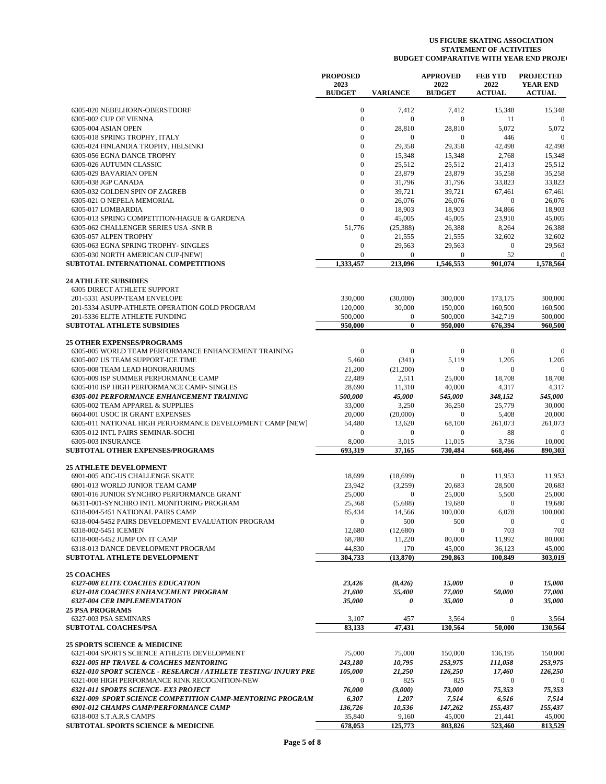|                                                                  | <b>PROPOSED</b><br>2023 |                  | <b>APPROVED</b><br>2022 | <b>FEB YTD</b><br>2022 | <b>PROJECTED</b><br><b>YEAR END</b> |
|------------------------------------------------------------------|-------------------------|------------------|-------------------------|------------------------|-------------------------------------|
|                                                                  | <b>BUDGET</b>           | <b>VARIANCE</b>  | <b>BUDGET</b>           | <b>ACTUAL</b>          | <b>ACTUAL</b>                       |
| 6305-020 NEBELHORN-OBERSTDORF                                    | $\mathbf{0}$            | 7,412            | 7,412                   | 15,348                 | 15,348                              |
| 6305-002 CUP OF VIENNA                                           | $\boldsymbol{0}$        | $\mathbf{0}$     | $\mathbf{0}$            | 11                     | $\mathbf{0}$                        |
| 6305-004 ASIAN OPEN                                              | $\mathbf{0}$            | 28,810           | 28,810                  | 5,072                  | 5,072                               |
| 6305-018 SPRING TROPHY, ITALY                                    | $\Omega$                | $\mathbf{0}$     | $\mathbf{0}$            | 446                    | $\mathbf{0}$                        |
| 6305-024 FINLANDIA TROPHY, HELSINKI                              | $\mathbf{0}$            | 29,358           | 29,358                  | 42,498                 | 42,498                              |
| 6305-056 EGNA DANCE TROPHY                                       | $\Omega$                | 15,348           | 15,348                  | 2,768                  | 15,348                              |
| 6305-026 AUTUMN CLASSIC                                          | $\theta$                | 25,512           | 25,512                  | 21,413                 | 25,512                              |
| 6305-029 BAVARIAN OPEN                                           | $\theta$                | 23,879           | 23,879                  | 35,258                 | 35,258                              |
| 6305-038 JGP CANADA                                              | $\overline{0}$          | 31,796           | 31,796                  | 33,823                 | 33,823                              |
| 6305-032 GOLDEN SPIN OF ZAGREB                                   | $\Omega$                | 39,721           | 39,721                  | 67,461                 | 67,461                              |
| 6305-021 O NEPELA MEMORIAL                                       | $\overline{0}$          | 26,076           | 26,076                  | $\mathbf{0}$           | 26,076                              |
| 6305-017 LOMBARDIA                                               | $\mathbf{0}$            | 18,903           | 18,903                  | 34,866                 | 18,903                              |
| 6305-013 SPRING COMPETITION-HAGUE & GARDENA                      | $\overline{0}$          | 45,005           | 45,005                  | 23,910                 | 45,005                              |
| 6305-062 CHALLENGER SERIES USA -SNR B                            | 51,776                  | (25, 388)        | 26,388                  | 8,264                  | 26,388                              |
| 6305-057 ALPEN TROPHY                                            | $\boldsymbol{0}$        | 21,555           | 21,555                  | 32,602                 | 32,602                              |
| 6305-063 EGNA SPRING TROPHY- SINGLES                             | $\boldsymbol{0}$        | 29,563           | 29,563                  | $\overline{0}$         | 29,563                              |
| 6305-030 NORTH AMERICAN CUP-[NEW]                                | $\mathbf{0}$            | $\mathbf{0}$     | $\mathbf{0}$            | 52                     | $\mathbf{0}$                        |
| SUBTOTAL INTERNATIONAL COMPETITIONS                              | 1,333,457               | 213,096          | 1,546,553               | 901,074                | 1,578,564                           |
| <b>24 ATHLETE SUBSIDIES</b>                                      |                         |                  |                         |                        |                                     |
| <b>6305 DIRECT ATHLETE SUPPORT</b>                               |                         |                  |                         |                        |                                     |
| 201-5331 ASUPP-TEAM ENVELOPE                                     | 330,000                 | (30,000)         | 300,000                 | 173,175                | 300,000                             |
| 201-5334 ASUPP-ATHLETE OPERATION GOLD PROGRAM                    | 120,000                 | 30,000           | 150,000                 | 160,500                | 160,500                             |
| 201-5336 ELITE ATHLETE FUNDING                                   | 500,000                 | $\mathbf{0}$     | 500,000                 | 342,719                | 500,000                             |
| <b>SUBTOTAL ATHLETE SUBSIDIES</b>                                | 950,000                 | $\bf{0}$         | 950,000                 | 676,394                | 960,500                             |
| <b>25 OTHER EXPENSES/PROGRAMS</b>                                |                         |                  |                         |                        |                                     |
| 6305-005 WORLD TEAM PERFORMANCE ENHANCEMENT TRAINING             | $\overline{0}$          | $\boldsymbol{0}$ | $\boldsymbol{0}$        | $\mathbf{0}$           | $\mathbf{0}$                        |
| 6305-007 US TEAM SUPPORT-ICE TIME                                | 5,460                   | (341)            | 5,119                   | 1,205                  | 1,205                               |
| 6305-008 TEAM LEAD HONORARIUMS                                   | 21,200                  | (21,200)         | $\boldsymbol{0}$        | $\mathbf{0}$           | $\Omega$                            |
|                                                                  |                         |                  |                         |                        |                                     |
| 6305-009 ISP SUMMER PERFORMANCE CAMP                             | 22,489<br>28,690        | 2,511            | 25,000                  | 18,708                 | 18,708                              |
| 6305-010 ISP HIGH PERFORMANCE CAMP- SINGLES                      |                         | 11,310           | 40,000                  | 4,317                  | 4,317                               |
| <b>6305-001 PERFORMANCE ENHANCEMENT TRAINING</b>                 | 500,000                 | 45,000           | 545,000                 | 348,152                | 545,000                             |
| 6305-002 TEAM APPAREL & SUPPLIES                                 | 33,000                  | 3,250            | 36,250                  | 25,779                 | 30,000                              |
| 6604-001 USOC IR GRANT EXPENSES                                  | 20,000                  | (20,000)         | $\mathbf{0}$            | 5,408                  | 20,000                              |
| 6305-011 NATIONAL HIGH PERFORMANCE DEVELOPMENT CAMP [NEW]        | 54,480                  | 13,620           | 68,100                  | 261,073                | 261,073                             |
| 6305-012 INTL PAIRS SEMINAR-SOCHI                                | $\mathbf{0}$            | $\mathbf{0}$     | $\mathbf{0}$            | 88                     | $\Omega$                            |
| 6305-003 INSURANCE<br>SUBTOTAL OTHER EXPENSES/PROGRAMS           | 8,000<br>693,319        | 3,015<br>37,165  | 11,015<br>730,484       | 3,736<br>668,466       | 10,000<br>890,303                   |
|                                                                  |                         |                  |                         |                        |                                     |
| <b>25 ATHLETE DEVELOPMENT</b>                                    |                         |                  |                         |                        |                                     |
| 6901-005 ADC-US CHALLENGE SKATE                                  | 18,699                  | (18,699)         | $\boldsymbol{0}$        | 11,953                 | 11,953                              |
| 6901-013 WORLD JUNIOR TEAM CAMP                                  | 23,942                  | (3,259)          | 20,683                  | 28,500                 | 20,683                              |
| 6901-016 JUNIOR SYNCHRO PERFORMANCE GRANT                        | 25,000                  | $\mathbf{0}$     | 25,000                  | 5,500                  | 25,000                              |
| 66311-001-SYNCHRO INTL MONITORING PROGRAM                        | 25,368                  | (5,688)          | 19,680                  | $\mathbf{0}$           | 19,680                              |
| 6318-004-5451 NATIONAL PAIRS CAMP                                | 85,434                  | 14,566           | 100,000                 | 6,078                  | 100,000                             |
| 6318-004-5452 PAIRS DEVELOPMENT EVALUATION PROGRAM               | $\mathbf{0}$            | 500              | 500                     | $\bf{0}$               | $\mathbf{0}$                        |
| 6318-002-5451 ICEMEN                                             | 12,680                  | (12,680)         | $\mathbf{0}$            | 703                    | 703                                 |
| 6318-008-5452 JUMP ON IT CAMP                                    | 68,780                  | 11,220           | 80,000                  | 11,992                 | 80,000                              |
| 6318-013 DANCE DEVELOPMENT PROGRAM                               | 44,830                  | 170              | 45,000                  | 36,123                 | 45,000                              |
| SUBTOTAL ATHLETE DEVELOPMENT                                     | 304,733                 | (13, 870)        | 290,863                 | 100,849                | 303,019                             |
| <b>25 COACHES</b>                                                |                         |                  |                         |                        |                                     |
| <b>6327-008 ELITE COACHES EDUCATION</b>                          | 23,426                  | (8, 426)         | 15,000                  | 0                      | 15,000                              |
| <b>6321-018 COACHES ENHANCEMENT PROGRAM</b>                      | 21,600                  | 55,400           | 77,000                  | 50,000                 | 77,000                              |
| <b>6327-004 CER IMPLEMENTATION</b>                               | 35,000                  | 0                | 35,000                  | 0                      | 35,000                              |
| <b>25 PSA PROGRAMS</b>                                           |                         |                  |                         |                        |                                     |
| 6327-003 PSA SEMINARS                                            | 3,107                   | 457              | 3,564                   | $\mathbf{0}$           | 3,564                               |
| <b>SUBTOTAL COACHES/PSA</b>                                      | 83,133                  | 47,431           | 130,564                 | 50,000                 | 130,564                             |
| <b>25 SPORTS SCIENCE &amp; MEDICINE</b>                          |                         |                  |                         |                        |                                     |
| 6321-004 SPORTS SCIENCE ATHLETE DEVELOPMENT                      | 75,000                  | 75,000           | 150,000                 | 136,195                | 150,000                             |
| <b>6321-005 HP TRAVEL &amp; COACHES MENTORING</b>                | 243,180                 | 10,795           | 253,975                 | 111,058                | 253,975                             |
|                                                                  |                         |                  |                         |                        |                                     |
| 6321-010 SPORT SCIENCE - RESEARCH / ATHLETE TESTING/ INJURY PRE  | 105,000                 | 21,250           | 126,250                 | 17,460                 | 126,250                             |
| 6321-008 HIGH PERFORMANCE RINK RECOGNITION-NEW                   | $\mathbf{0}$            | 825              | 825                     | $\boldsymbol{0}$       | $\mathbf{0}$                        |
| <b>6321-011 SPORTS SCIENCE- EX3 PROJECT</b>                      | 76,000                  | (3,000)          | 73,000                  | 75,353                 | 75,353                              |
| <b>6321-009 SPORT SCIENCE COMPETITION CAMP-MENTORING PROGRAM</b> | 6,307                   | 1,207            | 7,514                   | 6,516                  | 7,514                               |
| 6901-012 CHAMPS CAMP/PERFORMANCE CAMP                            | 136,726                 | 10,536           | 147,262                 | 155,437                | 155,437                             |
| 6318-003 S.T.A.R.S CAMPS                                         | 35,840                  | 9,160            | 45,000                  | 21,441                 | 45,000                              |
| SUBTOTAL SPORTS SCIENCE & MEDICINE                               | 678,053                 | 125,773          | 803,826                 | 523,460                | 813,529                             |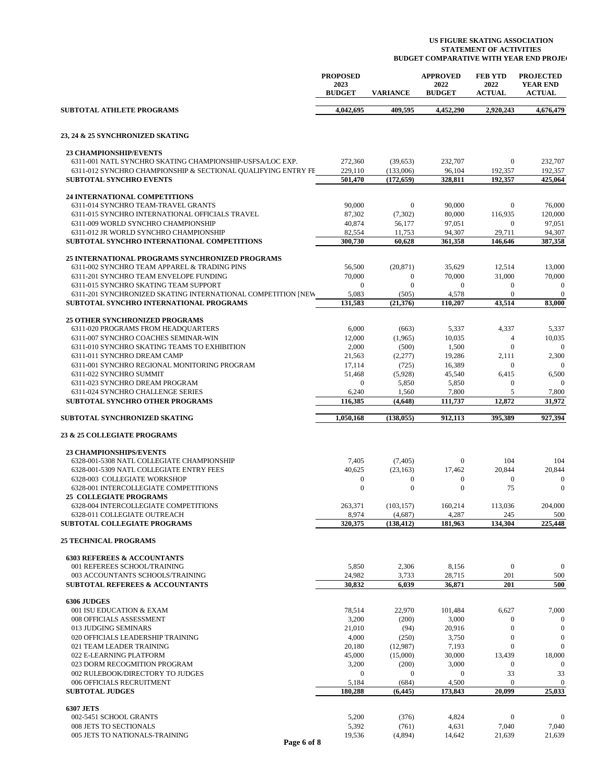|                                                                         | <b>PROPOSED</b>        |                       | <b>APPROVED</b>       | <b>FEB YTD</b>            | <b>PROJECTED</b>                 |
|-------------------------------------------------------------------------|------------------------|-----------------------|-----------------------|---------------------------|----------------------------------|
|                                                                         | 2023<br><b>BUDGET</b>  | <b>VARIANCE</b>       | 2022<br><b>BUDGET</b> | 2022<br><b>ACTUAL</b>     | <b>YEAR END</b><br><b>ACTUAL</b> |
| <b>SUBTOTAL ATHLETE PROGRAMS</b>                                        | 4,042,695              | 409,595               | 4,452,290             | 2,920,243                 | 4,676,479                        |
| 23, 24 & 25 SYNCHRONIZED SKATING                                        |                        |                       |                       |                           |                                  |
| <b>23 CHAMPIONSHIP/EVENTS</b>                                           |                        |                       |                       |                           |                                  |
| 6311-001 NATL SYNCHRO SKATING CHAMPIONSHIP-USFSA/LOC EXP.               | 272,360                | (39,653)              | 232,707               | $\mathbf{0}$              | 232,707                          |
| 6311-012 SYNCHRO CHAMPIONSHIP & SECTIONAL QUALIFYING ENTRY FE           | 229,110                | (133,006)             | 96,104                | 192,357                   | 192,357                          |
| <b>SUBTOTAL SYNCHRO EVENTS</b>                                          | 501,470                | (172, 659)            | 328,811               | 192,357                   | 425,064                          |
| 24 INTERNATIONAL COMPETITIONS                                           |                        |                       |                       |                           |                                  |
| 6311-014 SYNCHRO TEAM-TRAVEL GRANTS                                     | 90,000                 | $\mathbf{0}$          | 90,000                | $\mathbf{0}$              | 76,000                           |
| 6311-015 SYNCHRO INTERNATIONAL OFFICIALS TRAVEL                         | 87,302                 | (7,302)               | 80,000                | 116,935                   | 120,000                          |
| 6311-009 WORLD SYNCHRO CHAMPIONSHIP                                     | 40,874                 | 56,177                | 97,051                | $\mathbf{0}$              | 97,051                           |
| 6311-012 JR WORLD SYNCHRO CHAMPIONSHIP                                  | 82,554                 | 11,753                | 94,307                | 29,711                    | 94,307                           |
| SUBTOTAL SYNCHRO INTERNATIONAL COMPETITIONS                             | 300,730                | 60,628                | 361,358               | 146,646                   | 387,358                          |
| <b>25 INTERNATIONAL PROGRAMS SYNCHRONIZED PROGRAMS</b>                  |                        |                       |                       |                           |                                  |
| 6311-002 SYNCHRO TEAM APPAREL & TRADING PINS                            | 56,500                 | (20, 871)             | 35,629                | 12,514                    | 13,000                           |
| 6311-201 SYNCHRO TEAM ENVELOPE FUNDING                                  | 70,000                 | $\boldsymbol{0}$      | 70,000                | 31,000                    | 70,000                           |
| 6311-015 SYNCHRO SKATING TEAM SUPPORT                                   | $\mathbf{0}$           | $\mathbf{0}$          | $\mathbf{0}$          | $\boldsymbol{0}$          | $\mathbf{0}$                     |
| 6311-201 SYNCHRONIZED SKATING INTERNATIONAL COMPETITION [NEW            | 5,083                  | (505)                 | 4,578                 | $\mathbf{0}$              | $\mathbf{0}$                     |
| SUBTOTAL SYNCHRO INTERNATIONAL PROGRAMS                                 | 131.583                | (21,376)              | 110,207               | 43,514                    | 83,000                           |
| <b>25 OTHER SYNCHRONIZED PROGRAMS</b>                                   |                        |                       |                       |                           |                                  |
| 6311-020 PROGRAMS FROM HEADOUARTERS                                     | 6,000                  | (663)                 | 5,337                 | 4,337                     | 5,337                            |
| 6311-007 SYNCHRO COACHES SEMINAR-WIN                                    | 12,000                 | (1,965)               | 10,035                | $\overline{4}$            | 10,035                           |
| 6311-010 SYNCHRO SKATING TEAMS TO EXHIBITION                            | 2,000                  | (500)                 | 1,500                 | $\mathbf{0}$              | $\mathbf{0}$                     |
| 6311-011 SYNCHRO DREAM CAMP                                             | 21,563                 | (2,277)               | 19,286                | 2,111                     | 2,300                            |
| 6311-001 SYNCHRO REGIONAL MONITORING PROGRAM<br>6311-022 SYNCHRO SUMMIT | 17,114                 | (725)                 | 16,389                | $\Omega$                  | $\mathbf{0}$                     |
| 6311-023 SYNCHRO DREAM PROGRAM                                          | 51,468<br>$\mathbf{0}$ | (5,928)<br>5,850      | 45,540<br>5,850       | 6,415<br>$\boldsymbol{0}$ | 6,500<br>$\Omega$                |
| 6311-024 SYNCHRO CHALLENGE SERIES                                       | 6,240                  | 1,560                 | 7,800                 | 5                         | 7,800                            |
| <b>SUBTOTAL SYNCHRO OTHER PROGRAMS</b>                                  | 116,385                | (4,648)               | 111,737               | 12,872                    | 31,972                           |
| SUBTOTAL SYNCHRONIZED SKATING                                           | 1,050,168              | (138, 055)            | 912,113               | 395,389                   | 927,394                          |
| <b>23 &amp; 25 COLLEGIATE PROGRAMS</b>                                  |                        |                       |                       |                           |                                  |
| <b>23 CHAMPIONSHIPS/EVENTS</b>                                          |                        |                       |                       |                           |                                  |
| 6328-001-5308 NATL COLLEGIATE CHAMPIONSHIP                              | 7,405                  | (7,405)               | $\mathbf{0}$          | 104                       | 104                              |
| 6328-001-5309 NATL COLLEGIATE ENTRY FEES                                | 40,625                 | (23, 163)             | 17,462                | 20,844                    | 20,844                           |
| 6328-003 COLLEGIATE WORKSHOP                                            | $\boldsymbol{0}$       | $\boldsymbol{0}$      | $\boldsymbol{0}$      | $\mathbf{0}$              | $\mathbf{0}$                     |
| 6328-001 INTERCOLLEGIATE COMPETITIONS                                   | $\overline{0}$         | $\mathbf{0}$          | $\overline{0}$        | 75                        | $\mathbf{0}$                     |
| <b>25 COLLEGIATE PROGRAMS</b>                                           |                        |                       |                       |                           |                                  |
| 6328-004 INTERCOLLEGIATE COMPETITIONS<br>6328-011 COLLEGIATE OUTREACH   | 263,371<br>8,974       | (103, 157)<br>(4,687) | 160,214<br>4,287      | 113,036<br>245            | 204,000<br>500                   |
| <b>SUBTOTAL COLLEGIATE PROGRAMS</b>                                     | 320,375                | (138, 412)            | 181,963               | 134,304                   | 225,448                          |
|                                                                         |                        |                       |                       |                           |                                  |
| <b>25 TECHNICAL PROGRAMS</b>                                            |                        |                       |                       |                           |                                  |
| <b>6303 REFEREES &amp; ACCOUNTANTS</b>                                  |                        |                       |                       |                           |                                  |
| 001 REFEREES SCHOOL/TRAINING<br>003 ACCOUNTANTS SCHOOLS/TRAINING        | 5,850<br>24,982        | 2,306<br>3,733        | 8,156<br>28,715       | $\boldsymbol{0}$<br>201   | $\mathbf{0}$<br>500              |
| <b>SUBTOTAL REFEREES &amp; ACCOUNTANTS</b>                              | 30,832                 | 6,039                 | 36,871                | 201                       | 500                              |
|                                                                         |                        |                       |                       |                           |                                  |
| <b>6306 JUDGES</b>                                                      |                        |                       |                       |                           |                                  |
| 001 ISU EDUCATION & EXAM<br>008 OFFICIALS ASSESSMENT                    | 78,514<br>3,200        | 22,970<br>(200)       | 101,484<br>3,000      | 6,627<br>$\mathbf{0}$     | 7,000<br>$\mathbf{0}$            |
| 013 JUDGING SEMINARS                                                    | 21,010                 | (94)                  | 20,916                | $\boldsymbol{0}$          | $\mathbf{0}$                     |
| 020 OFFICIALS LEADERSHIP TRAINING                                       | 4,000                  | (250)                 | 3,750                 | $\boldsymbol{0}$          | $\boldsymbol{0}$                 |
| 021 TEAM LEADER TRAINING                                                | 20,180                 | (12,987)              | 7,193                 | $\mathbf{0}$              | $\mathbf{0}$                     |
| 022 E-LEARNING PLATFORM                                                 | 45,000                 | (15,000)              | 30,000                | 13,439                    | 18,000                           |
| 023 DORM RECOGMITION PROGRAM                                            | 3,200                  | (200)                 | 3,000                 | $\mathbf{0}$              | $\mathbf{0}$                     |
| 002 RULEBOOK/DIRECTORY TO JUDGES                                        | $\overline{0}$         | $\mathbf{0}$          | $\boldsymbol{0}$      | 33                        | 33                               |
| 006 OFFICIALS RECRUITMENT<br><b>SUBTOTAL JUDGES</b>                     | 5,184<br>180,288       | (684)<br>(6, 445)     | 4,500<br>173,843      | $\mathbf{0}$<br>20,099    | $\mathbf{0}$<br>25,033           |
|                                                                         |                        |                       |                       |                           |                                  |
| <b>6307 JETS</b>                                                        |                        |                       |                       |                           |                                  |
| 002-5451 SCHOOL GRANTS                                                  | 5,200                  | (376)                 | 4,824                 | $\mathbf{0}$              | $\mathbf{0}$                     |
| 008 JETS TO SECTIONALS                                                  | 5,392                  | (761)                 | 4,631                 | 7,040                     | 7,040                            |
| 005 JETS TO NATIONALS-TRAINING<br>Page 6 of 8                           | 19,536                 | (4,894)               | 14,642                | 21,639                    | 21,639                           |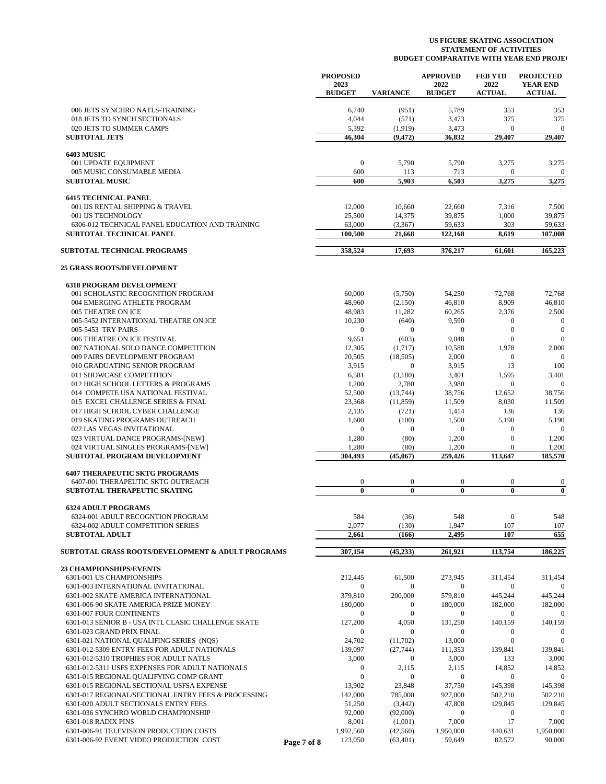|                                                                                             | <b>PROPOSED</b>       |                     |                         | <b>APPROVED</b>         | <b>FEB YTD</b>        | <b>PROJECTED</b>                 |
|---------------------------------------------------------------------------------------------|-----------------------|---------------------|-------------------------|-------------------------|-----------------------|----------------------------------|
|                                                                                             | 2023<br><b>BUDGET</b> |                     | <b>VARIANCE</b>         | 2022<br><b>BUDGET</b>   | 2022<br><b>ACTUAL</b> | <b>YEAR END</b><br><b>ACTUAL</b> |
| 006 JETS SYNCHRO NATLS-TRAINING                                                             |                       | 6,740               | (951)                   | 5,789                   | 353                   | 353                              |
| 018 JETS TO SYNCH SECTIONALS                                                                |                       | 4,044               | (571)                   | 3,473                   | 375                   | 375                              |
| 020 JETS TO SUMMER CAMPS                                                                    |                       | 5,392               | (1,919)                 | 3,473                   | $\bf{0}$              | $\boldsymbol{0}$                 |
| <b>SUBTOTAL JETS</b>                                                                        |                       | 46,304              | (9, 472)                | 36,832                  | 29,407                | 29,407                           |
| <b>6403 MUSIC</b>                                                                           |                       |                     |                         |                         |                       |                                  |
| 001 UPDATE EQUIPMENT<br>005 MUSIC CONSUMABLE MEDIA                                          |                       | $\mathbf{0}$<br>600 | 5,790<br>113            | 5,790<br>713            | 3,275<br>$\mathbf{0}$ | 3,275<br>$\overline{0}$          |
| <b>SUBTOTAL MUSIC</b>                                                                       |                       | 600                 | 5,903                   | 6,503                   | 3,275                 | 3,275                            |
| <b>6415 TECHNICAL PANEL</b>                                                                 |                       |                     |                         |                         |                       |                                  |
| 001 IJS RENTAL SHIPPING & TRAVEL                                                            |                       | 12,000              | 10,660                  | 22,660                  | 7,316                 | 7,500                            |
| 001 IJS TECHNOLOGY                                                                          |                       | 25,500              | 14,375                  | 39,875                  | 1,000                 | 39,875                           |
| 6306-012 TECHNICAL PANEL EDUCATION AND TRAINING                                             |                       | 63,000              | (3,367)                 | 59,633                  | 303                   | 59,633                           |
| <b>SUBTOTAL TECHNICAL PANEL</b>                                                             |                       | 100,500             | 21,668                  | 122,168                 | 8,619                 | 107,008                          |
| <b>SUBTOTAL TECHNICAL PROGRAMS</b>                                                          |                       | 358,524             | 17,693                  | 376,217                 | 61,601                | 165,223                          |
| <b>25 GRASS ROOTS/DEVELOPMENT</b>                                                           |                       |                     |                         |                         |                       |                                  |
| <b>6318 PROGRAM DEVELOPMENT</b><br>001 SCHOLASTIC RECOGNITION PROGRAM                       |                       | 60,000              | (5,750)                 | 54,250                  | 72,768                | 72,768                           |
| 004 EMERGING ATHLETE PROGRAM                                                                |                       | 48,960              | (2,150)                 | 46,810                  | 8,909                 | 46,810                           |
| 005 THEATRE ON ICE                                                                          |                       | 48,983              | 11,282                  | 60,265                  | 2,376                 | 2,500                            |
| 005-5452 INTERNATIONAL THEATRE ON ICE                                                       |                       | 10,230              | (640)                   | 9,590                   | $\mathbf{0}$          | $\mathbf{0}$                     |
| 005-5453 TRY PAIRS                                                                          |                       | $\mathbf{0}$        | $\mathbf{0}$            | $\mathbf{0}$            | $\mathbf{0}$          | $\boldsymbol{0}$                 |
| 006 THEATRE ON ICE FESTIVAL                                                                 |                       | 9,651               | (603)                   | 9,048                   | $\mathbf{0}$          | $\mathbf{0}$                     |
| 007 NATIONAL SOLO DANCE COMPETITION                                                         |                       | 12,305              | (1,717)                 | 10,588                  | 1,978                 | 2,000                            |
| 009 PAIRS DEVELOPMENT PROGRAM                                                               |                       | 20,505              | (18, 505)               | 2,000                   | $\mathbf{0}$          | $\mathbf{0}$                     |
| 010 GRADUATING SENIOR PROGRAM<br>011 SHOWCASE COMPETITION                                   |                       | 3,915<br>6,581      | $\mathbf{0}$<br>(3,180) | 3,915<br>3,401          | 13<br>1,595           | 100<br>3,401                     |
| 012 HIGH SCHOOL LETTERS & PROGRAMS                                                          |                       | 1,200               | 2,780                   | 3,980                   | $\mathbf{0}$          | $\mathbf{0}$                     |
| 014 COMPETE USA NATIONAL FESTIVAL                                                           |                       | 52,500              | (13,744)                | 38,756                  | 12,652                | 38,756                           |
| 015 EXCEL CHALLENGE SERIES & FINAL                                                          |                       | 23,368              | (11, 859)               | 11,509                  | 8,030                 | 11,509                           |
| 017 HIGH SCHOOL CYBER CHALLENGE                                                             |                       | 2,135               | (721)                   | 1,414                   | 136                   | 136                              |
| 019 SKATING PROGRAMS OUTREACH                                                               |                       | 1,600               | (100)                   | 1,500                   | 5,190                 | 5,190                            |
| 022 LAS VEGAS INVITATIONAL                                                                  |                       | $\mathbf{0}$        | $\mathbf{0}$            | $\boldsymbol{0}$        | $\boldsymbol{0}$      | $\mathbf{0}$                     |
| 023 VIRTUAL DANCE PROGRAMS-[NEW]                                                            |                       | 1,280               | (80)                    | 1,200                   | $\mathbf{0}$          | 1,200                            |
| 024 VIRTUAL SINGLES PROGRAMS-[NEW]<br><b>SUBTOTAL PROGRAM DEVELOPMENT</b>                   |                       | 1,280<br>304,493    | (80)<br>(45,067)        | 1,200<br>259,426        | 0<br>113,647          | 1,200<br>185,570                 |
| <b>6407 THERAPEUTIC SKTG PROGRAMS</b>                                                       |                       |                     |                         |                         |                       |                                  |
| 6407-001 THERAPEUTIC SKTG OUTREACH                                                          |                       | $\boldsymbol{0}$    | $\bf{0}$                | $\boldsymbol{0}$        | 0                     | $\mathbf{0}$                     |
| SUBTOTAL THERAPEUTIC SKATING                                                                |                       | $\bf{0}$            | $\mathbf{0}$            | $\bf{0}$                | $\bf{0}$              | $\bf{0}$                         |
| <b>6324 ADULT PROGRAMS</b><br>6324-001 ADULT RECOGNTION PROGRAM                             |                       | 584                 | (36)                    | 548                     | $\bf{0}$              | 548                              |
| 6324-002 ADULT COMPETITION SERIES                                                           |                       | 2,077               | (130)                   | 1,947                   | 107                   | 107                              |
| <b>SUBTOTAL ADULT</b>                                                                       |                       | 2,661               | (166)                   | 2,495                   | 107                   | 655                              |
| <b>SUBTOTAL GRASS ROOTS/DEVELOPMENT &amp; ADULT PROGRAMS</b>                                |                       | 307,154             | (45, 233)               | 261,921                 | 113,754               | 186,225                          |
| <b>23 CHAMPIONSHIPS/EVENTS</b>                                                              |                       |                     |                         |                         |                       |                                  |
| 6301-001 US CHAMPIONSHIPS                                                                   |                       | 212,445             | 61,500                  | 273,945                 | 311,454               | 311,454                          |
| 6301-003 INTERNATIONAL INVITATIONAL                                                         |                       | $\mathbf{0}$        | $\mathbf{0}$            | $\boldsymbol{0}$        | $\boldsymbol{0}$      | $\mathbf{0}$                     |
| 6301-002 SKATE AMERICA INTERNATIONAL                                                        |                       | 379,810             | 200,000                 | 579,810                 | 445,244               | 445,244                          |
| 6301-006-90 SKATE AMERICA PRIZE MONEY                                                       |                       | 180,000             | $\mathbf{0}$            | 180,000                 | 182,000               | 182,000                          |
| 6301-007 FOUR CONTINENTS<br>6301-013 SENIOR B - USA INTL CLASIC CHALLENGE SKATE             |                       | $\bf{0}$<br>127,200 | $\mathbf{0}$<br>4,050   | $\mathbf{0}$<br>131,250 | 0<br>140,159          | $\boldsymbol{0}$<br>140,159      |
| 6301-023 GRAND PRIX FINAL                                                                   |                       | 0                   | $\mathbf{0}$            | $\boldsymbol{0}$        | 0                     | $\mathbf{0}$                     |
| 6301-021 NATIONAL QUALIFING SERIES (NQS)                                                    |                       | 24,702              | (11,702)                | 13,000                  | $\boldsymbol{0}$      | $\boldsymbol{0}$                 |
| 6301-012-5309 ENTRY FEES FOR ADULT NATIONALS                                                |                       | 139,097             | (27, 744)               | 111,353                 | 139,841               | 139,841                          |
| 6301-012-5310 TROPHIES FOR ADULT NATLS                                                      |                       | 3,000               | $\mathbf{0}$            | 3,000                   | 133                   | 3,000                            |
| 6301-012-5311 USFS EXPENSES FOR ADULT NATIONALS                                             |                       | 0                   | 2,115                   | 2,115                   | 14,852                | 14,852                           |
| 6301-015 REGIONAL QUALIFYING COMP GRANT                                                     |                       | $\boldsymbol{0}$    | $\mathbf{0}$            | $\boldsymbol{0}$        | $\mathbf{0}$          | $\mathbf{0}$                     |
| 6301-015 REGIONAL SECTIONAL USFSA EXPENSE                                                   |                       | 13,902              | 23,848                  | 37,750                  | 145,398               | 145,398                          |
| 6301-017 REGIONAL/SECTIONAL ENTRY FEES & PROCESSING<br>6301-020 ADULT SECTIONALS ENTRY FEES |                       | 142,000<br>51,250   | 785,000                 | 927,000<br>47,808       | 502,210<br>129,845    | 502,210<br>129,845               |
| 6301-036 SYNCHRO WORLD CHAMPIONSHIP                                                         |                       | 92,000              | (3,442)<br>(92,000)     | $\mathbf{0}$            | $\mathbf{0}$          | $\mathbf{0}$                     |
| 6301-018 RADIX PINS                                                                         |                       | 8,001               | (1,001)                 | 7,000                   | 17                    | 7,000                            |
| 6301-006-91 TELEVISION PRODUCTION COSTS                                                     |                       | 1,992,560           | (42, 560)               | 1,950,000               | 440,631               | 1,950,000                        |
| 6301-006-92 EVENT VIDEO PRODUCTION COST                                                     | Page 7 of 8           | 123,050             | (63, 401)               | 59,649                  | 82,572                | 90,000                           |